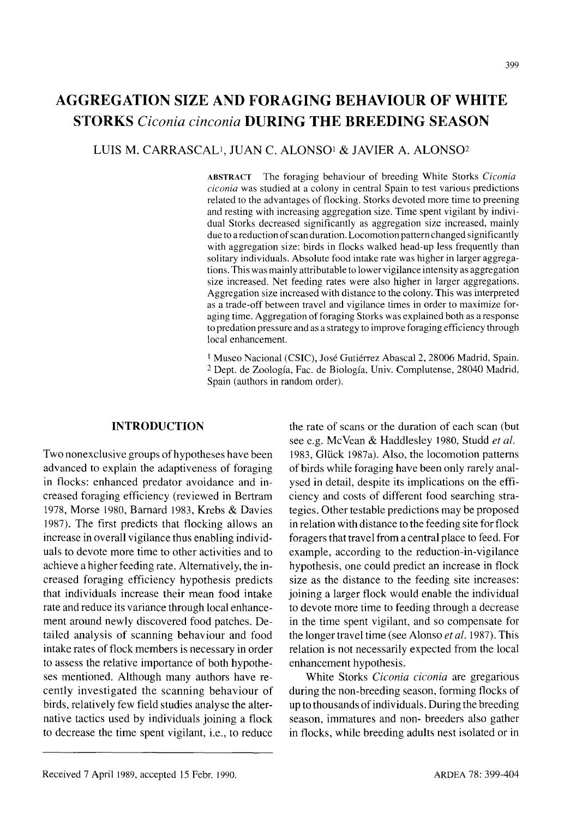# **AGGREGATION SIZE AND FORAGING BEHAVIOUR OF WHITE STORKS** *Ciconia cinconia* **DURING THE BREEDING SEASON**

## LUIS M. CARRASCAU, JUAN C. ALONSO! & JAVIER A. ALONS02

ABSTRACT The foraging behaviour of breeding White Storks *Ciconia eiconia* was studied at a colony in central Spain to test various predictions related to the advantages of flocking. Storks devoted more time to preening and resting with increasing aggregation size. Time spent vigilant by individual Storks decreased significantly as aggregation size increased, mainly due to a reduction of scan duration. Locomotion pattern changed significantly with aggregation size: birds in flocks walked head-up less frequently than solitary individuals. Absolute food intake rate was higher in larger aggregations. This was mainly attributable to lower vigilance intensity as aggregation size increased. Net feeding rates were also higher in larger aggregations. Aggregation size increased with distance to the colony. This was interpreted as a trade-off between travel and vigilance times in order to maximize foraging time. Aggregation of foraging Storks was explained both as a response to predation pressure and as a strategy to improve foraging efficiency through local enhancement.

<sup>1</sup> Museo Nacional (CSIC), José Gutiérrez Abascal 2, 28006 Madrid, Spain. 2 Dept. de Zoologfa, Fac. de Biologfa, Univ. Complutense, 28040 Madrid, Spain (authors in random order).

## **INTRODUCTION**

Two nonexclusive groups of hypotheses have been advanced to explain the adaptiveness of foraging in flocks: enhanced predator avoidance and increased foraging efficiency (reviewed in Bertram 1978, Morse 1980, Barnard 1983, Krebs & Davies 1987). The first predicts that flocking allows an increase in overall vigilance thus enabling individuals to devote more time to other activities and to achieve a higher feeding rate. Alternatively, the increased foraging efficiency hypothesis predicts that individuals increase their mean food intake rate and reduce its variance through local enhancement around newly discovered food patches. Detailed analysis of scanning behaviour and food intake rates of flock members is necessary in order to assess the relative importance of both hypotheses mentioned. Although many authors have recently investigated the scanning behaviour of birds, relatively few field studies analyse the alternative tactics used by individuals joining a flock to decrease the time spent vigilant, i.e., to reduce

the rate of scans or the duration of each scan (but see e.g. McYean & Haddlesley 1980, Studd *et al.* 1983, Glück 1987a). Also, the locomotion patterns of birds while foraging have been only rarely analysed in detail, despite its implications on the efficiency and costs of different food searching strategies. Other testable predictions may be proposed in relation with distance to the feeding site for flock foragers that travel from a central place to feed. For example, according to the reduction-in-vigilance hypothesis, one could predict an increase in flock size as the distance to the feeding site increases: joining a larger flock would enable the individual to devote more time to feeding through a decrease in the time spent vigilant, and so compensate for the longer travel time (see Alonso *et al.* 1987). This relation is not necessarily expected from the local enhancement hypothesis.

White Storks *Cieonia eieonia* are gregarious during the non-breeding season, forming flocks of up to thousands of individuals. During the breeding season, immatures and non- breeders also gather in flocks, while breeding adults nest isolated or in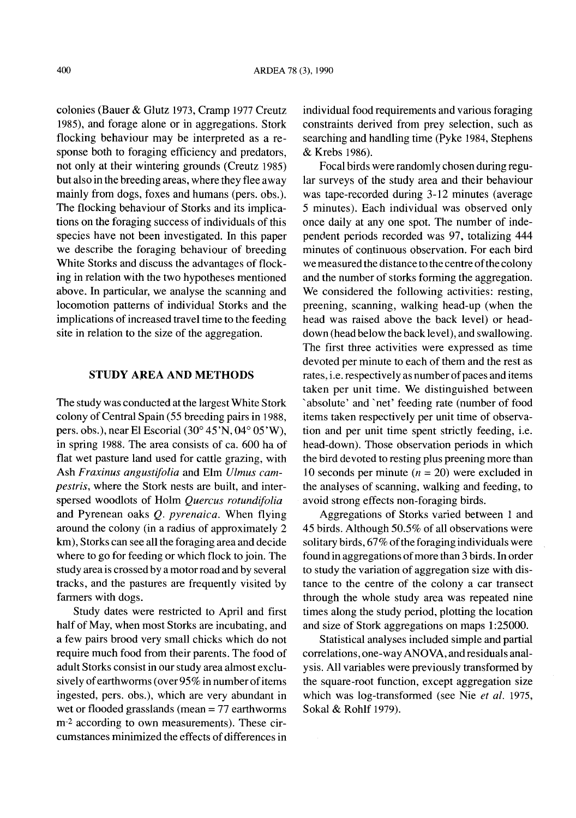colonies (Bauer & Glutz 1973, Cramp 1977 Creutz 1985), and forage alone or in aggregations. Stork flocking behaviour may be interpreted as a response both to foraging efficiency and predators, not only at their wintering grounds (Creutz 1985) but also in the breeding areas, where they flee away mainly from dogs, foxes and humans (pers. obs.). The flocking behaviour of Storks and its implications on the foraging success of individuals of this species have not been investigated. In this paper we describe the foraging behaviour of breeding White Storks and discuss the advantages of flocking in relation with the two hypotheses mentioned above. In particular, we analyse the scanning and locomotion patterns of individual Storks and the implications of increased travel time to the feeding site in relation to the size of the aggregation.

#### STUDY AREA AND METHODS

The study was conducted at the largest White Stork colony of Central Spain (55 breeding pairs in 1988, pers. obs.), near El Escorial  $(30^{\circ} 45'N, 04^{\circ} 05'W)$ , in spring 1988. The area consists of ca. 600 ha of flat wet pasture land used for cattle grazing, with Ash *Fraxinus angustifolia* and Elm *Ulmus campestris,* where the Stork nests are built, and interspersed woodlots of Holm *Quercus rotundifolia* and Pyrenean oaks Q. *pyrenaica.* When flying around the colony (in a radius of approximately 2 km), Storks can see all the foraging area and decide where to go for feeding or which flock to join. The study area is crossed by a motorroad and by several tracks, and the pastures are frequently visited by farmers with dogs.

Study dates were restricted to April and first half of May, when most Storks are incubating, and a few pairs brood very small chicks which do not require much food from their parents. The food of adult Storks consist in our study area almost exclusively of earthworms (over  $95\%$  in number of items ingested, pers. obs.), which are very abundant in wet or flooded grasslands (mean = 77 earthworms m-<sup>2</sup> according to own measurements). These circumstances minimized the effects of differences in individual food requirements and various foraging constraints derived from prey selection, such as searching and handling time (Pyke 1984, Stephens & Krebs 1986).

Focal birds were randomly chosen during regular surveys of the study area and their behaviour was tape-recorded during 3-12 minutes (average 5 minutes). Each individual was observed only once daily at anyone spot. The number of independent periods recorded was 97, totalizing 444 minutes of continuous observation. For each bird we measured the distance to the centre of the colony and the number of storks forming the aggregation. We considered the following activities: resting, preening, scanning, walking head-up (when the head was raised above the back level) or headdown (head below the back level), and swallowing. The first three activities were expressed as time devoted per minute to each of them and the rest as rates, i.e. respectively as number of paces and items taken per unit time. We distinguished between 'absolute' and 'net' feeding rate (number of food items taken respectively per unit time of observation and per unit time spent strictly feeding, i.e. head-down). Those observation periods in which the bird devoted to resting plus preening more than 10 seconds per minute  $(n = 20)$  were excluded in the analyses of scanning, walking and feeding, to avoid strong effects non-foraging birds.

Aggregations of Storks varied between 1 and 45 birds. Although 50.5% of all observations were solitary birds,  $67\%$  of the foraging individuals were found in aggregations of more than 3 birds. In order to study the variation of aggregation size with distance to the centre of the colony a car transect through the whole study area was repeated nine times along the study period, plotting the location and size of Stork aggregations on maps 1:25000.

Statistical analyses included simple and partial correlations, one-wayAN0 VA, and residuals analysis. All variables were previously transformed by the square-root function, except aggregation size which was log-transformed (see Nie *et al. 1975,* Sokal & Rohlf 1979).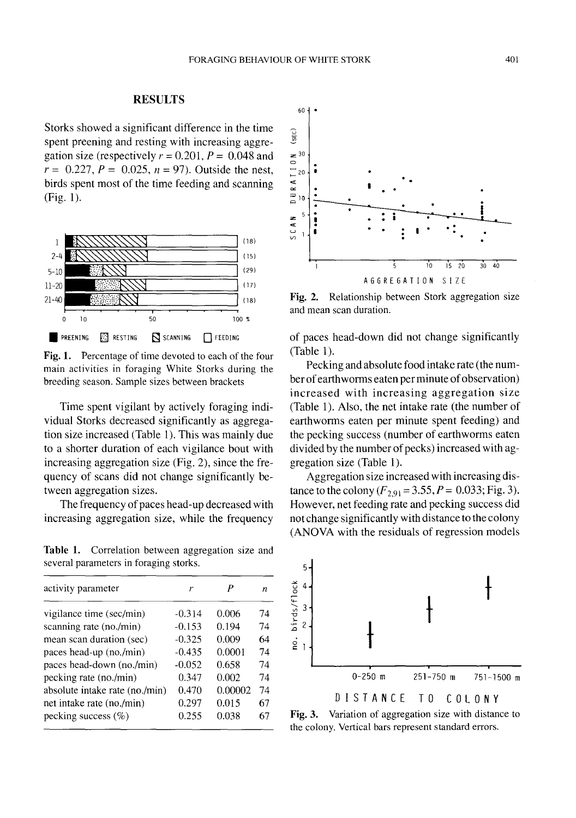## **RESULTS**

Storks showed a significant difference in the time spent preening and resting with increasing aggregation size (respectively  $r = 0.201$ ,  $P = 0.048$  and  $r = 0.227$ ,  $P = 0.025$ ,  $n = 97$ ). Outside the nest, birds spent most of the time feeding and scanning (Fig. 1).



Fig. 1. Percentage of time devoted to each of the four main activities in foraging White Storks during the breeding season. Sample sizes between brackets

Time spent vigilant by actively foraging individual Storks decreased significantly as aggregation size increased (Table I). This was mainly due to a shorter duration of each vigilance bout with increasing aggregation size (Fig. 2), since the frequency of scans did not change significantly between aggregation sizes.

The frequency of paces head-up decreased with increasing aggregation size, while the frequency

**Table 1.** Correlation between aggregation size and several parameters in foraging storks.

| activity parameter             |          |         | $\boldsymbol{n}$ | $\check{8}$ 4              |                                                                                                  |               |             |
|--------------------------------|----------|---------|------------------|----------------------------|--------------------------------------------------------------------------------------------------|---------------|-------------|
| vigilance time (sec/min)       | $-0.314$ | 0.006   | 74               | birds/fl<br>$\overline{3}$ |                                                                                                  |               |             |
| scanning rate (no./min)        | $-0.153$ | 0.194   | 74               | $2 -$                      |                                                                                                  |               |             |
| mean scan duration (sec)       | $-0.325$ | 0.009   | 64               | ٠<br>ě                     |                                                                                                  |               |             |
| paces head-up (no./min)        | $-0.435$ | 0.0001  | 74               |                            |                                                                                                  |               |             |
| paces head-down (no./min)      | $-0.052$ | 0.658   | 74               |                            |                                                                                                  |               |             |
| pecking rate (no./min)         | 0.347    | 0.002   | 74               |                            | $0 - 250$ m                                                                                      | $251 - 750$ m | $751 - 1$   |
| absolute intake rate (no./min) | 0.470    | 0.00002 | 74               |                            |                                                                                                  |               |             |
| net intake rate (no./min)      | 0.297    | 0.015   | 67               |                            | DISTANCE TO                                                                                      |               | C O L O N Y |
| pecking success $(\%)$         | 0.255    | 0.038   | 67               | <b>Fig. 3.</b>             | Variation of aggregation size with distar<br>the colony. Vertical hars represent standard errors |               |             |



Fig. 2. Relationship between Stork aggregation size and mean scan duration.

of paces head-down did not change significantly (Table 1).

Pecking and absolute food intake rate (the number of earthworms eaten per minute of observation) increased with increasing aggregation size (Table 1). Also, the net intake rate (the number of earthworms eaten per minute spent feeding) and the pecking success (number of earthworms eaten divided by the number of pecks) increased with aggregation size (Table 1).

Aggregation size increased with increasing distance to the colony  $(F_{2,91} = 3.55, P = 0.033;$  Fig. 3). However, net feeding rate and pecking success did not change significantly with distance to the colony (ANOVA with the residuals of regression models



Fig. 3. Variation of aggregation size with distance to the colony. Vertical bars represent standard errors.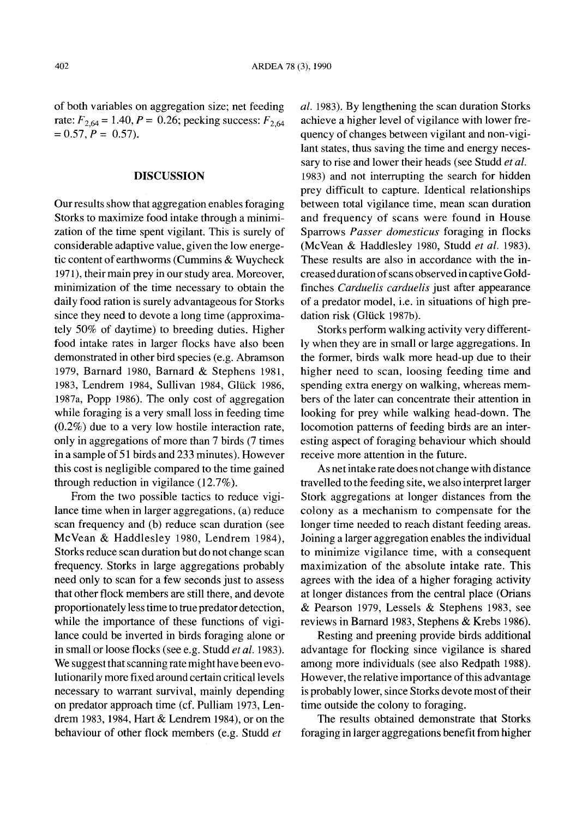of both variables on aggregation size; net feeding rate:  $F_{2,64} = 1.40, P = 0.26$ ; pecking success:  $F_{2,64}$  $=0.57, P = 0.57$ .

## **DISCUSSION**

Ourresults show that aggregation enables foraging Storks to maximize food intake through a minimization of the time spent vigilant. This is surely of considerable adaptive value, given the low energetic content of earthworms (Cummins & Wuycheck 1971), their main prey in our study area. Moreover, minimization of the time necessary to obtain the daily food ration is surely advantageous for Storks since they need to devote a long time (approximately 50% of daytime) to breeding duties. Higher food intake rates in larger flocks have also been demonstrated in other bird species (e.g. Abramson 1979, Barnard 1980, Barnard & Stephens 1981, 1983, Lendrem 1984, Sullivan 1984, Glück 1986, 1987a, Popp 1986). The only cost of aggregation while foraging is a very small loss in feeding time (0.2%) due to a very low hostile interaction rate, only in aggregations of more than 7 birds (7 times in a sample of 51 birds and 233 minutes). However this cost is negligible compared to the time gained through reduction in vigilance (12.7%).

From the two possible tactics to reduce vigilance time when in larger aggregations, (a) reduce scan frequency and (b) reduce scan duration (see McVean & Haddlesley 1980, Lendrem 1984), Storks reduce scan duration but do not change scan frequency. Storks in large aggregations probably need only to scan for a few seconds just to assess that other flock members are still there, and devote proportionately lesstime to true predator detection, while the importance of these functions of vigilance could be inverted in birds foraging alone or in small or loose flocks (see e.g. Studd *et ai. 1983).* We suggest that scanning rate might have been evolutionarily more fixed around certain critical levels necessary to warrant survival, mainly depending on predator approach time (cf. Pulliam 1973, Lendrem 1983, 1984, Hart & Lendrem 1984), or on the behaviour of other flock members (e.g. Studd *et*

*ai.* 1983). By lengthening the scan duration Storks achieve a higher level of vigilance with lower frequency of changes between vigilant and non-vigilant states, thus saving the time and energy necessary to rise and lower their heads (see Studd *et ai.* 1983) and not interrupting the search for hidden prey difficult to capture. Identical relationships between total vigilance time, mean scan duration and frequency of scans were found in House Sparrows *Passer domesticus* foraging in flocks (McVean & Haddlesley 1980, Studd *et ai. 1983).* These results are also in accordance with the increased duration of scans observed in captive Goldfinches *Cardueiis carduelis* just after appearance of a predator model, i.e. in situations of high predation risk (Glück 1987b).

Storks perform walking activity very differently when they are in small or large aggregations. In the former, birds walk more head-up due to their higher need to scan, loosing feeding time and spending extra energy on walking, whereas members of the later can concentrate their attention in looking for prey while walking head-down. The locomotion patterns of feeding birds are an interesting aspect of foraging behaviour which should receive more attention in the future.

As net intake rate does not change with distance travelled to the feeding site, we also interpret larger Stork aggregations at longer distances from the colony as a mechanism to compensate for the longer time needed to reach distant feeding areas. Joining a larger aggregation enables the individual to minimize vigilance time, with a consequent maximization of the absolute intake rate. This agrees with the idea of a higher foraging activity at longer distances from the central place (Orians & Pearson 1979, Lessels & Stephens 1983, see reviews in Barnard 1983, Stephens & Krebs 1986).

Resting and preening provide birds additional advantage for flocking since vigilance is shared among more individuals (see also Redpath 1988). However, the relative importance of this advantage is probably lower, since Storks devote most of their time outside the colony to foraging.

The results obtained demonstrate that Storks foraging in larger aggregations benefit from higher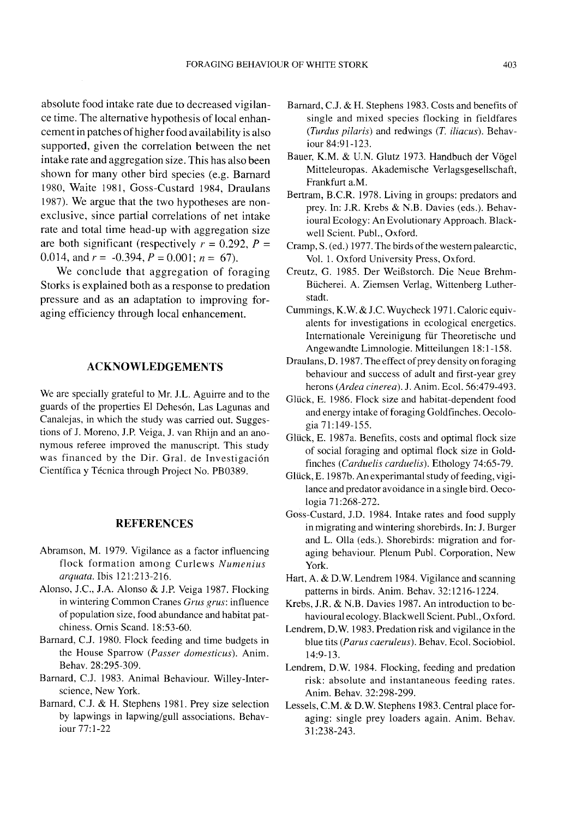absolute food intake rate due to decreased vigilance time. The alternative hypothesis of local enhancement in patches ofhigher food availability is also supported, given the correlation between the net intake rate and aggregation size. This has also been shown for many other bird species (e.g. Barnard 1980, Waite 1981, Goss-Custard 1984, Draulans 1987). We argue that the two hypotheses are nonexclusive, since partial correlations of net intake rate and total time head-up with aggregation size are both significant (respectively  $r = 0.292$ ,  $P =$ 0.014, and  $r = -0.394$ ,  $P = 0.001$ ;  $n = 67$ ).

We conclude that aggregation of foraging Storks is explained both as a response to predation pressure and as an adaptation to improving foraging efficiency through local enhancement.

### **ACKNOWLEDGEMENTS**

We are specially grateful to Mr. J.L. Aguirre and to the guards of the properties EI Dehes6n, Las Lagunas and Canalejas, in which the study was carried out. Suggestions of J. Moreno, J.P. Veiga, J. van Rhijn and an anonymous referee improved the manuscript. This study was financed by the Dir. Gral. de Investigación Científica y Técnica through Project No. PB0389.

#### **REFERENCES**

- Abramson, M. 1979. Vigilance as a factor influencing flock formation among Curlews *Numenius arquata.* Ibis 121 :213-216.
- Alonso, J.C., J.A. Alonso & J.P. Veiga 1987. Flocking in wintering Common Cranes *Crus grus:* influence of population size, food abundance and habitat patchiness. Ornis Scand. 18:53-60.
- Barnard, C.J. 1980. Flock feeding and time budgets in the House Sparrow *(Passer domesticus).* Anim. Behav. 28:295-309.
- Barnard, c.J. 1983. Animal Behaviour. Willey-Interscience, New York.
- Barnard, c.l. & H. Stephens 1981. Prey size selection by lapwings in lapwing/gull associations. Behaviour 77:1-22
- Barnard, c.J. & H. Stephens 1983. Costs and benefits of single and mixed species flocking in fieldfares *(Turdus pilaris)* and redwings (T. *iliacus).* Behaviour 84:91-123.
- Bauer, K.M. & U.N. Glutz 1973. Handbuch der Vögel Mitteleuropas. Akademische Verlagsgesellschaft, Frankfurt a.M.
- Bertram, B.C.R. 1978. Living in groups: predators and prey. In: J.R. Krebs & N.B. Davies (eds.). Behavioural Ecology: An Evolutionary Approach. Blackwell Scient. Pub!., Oxford.
- Cramp, S. (ed.) 1977. The birds of the western palearctic, Vo!. 1. Oxford University Press, Oxford.
- Creutz, G. 1985. Der WeiBstorch. Die Neue Brehm-Bücherei. A. Ziemsen Verlag, Wittenberg Lutherstadt.
- Cummings, K.W. & J.C. Wuycheck 1971. Caloric equivalents for investigations in ecological energetics. Internationale Vereinigung für Theoretische und Angewandte Limno10gie. Mitteilungen 18:1-158.
- Draulans, D. 1987. The effect of prey density on foraging behaviour and success of adult and first-year grey herons *(Ardea cinerea).* J. Anim. Eco!. 56:479-493.
- Glück, E. 1986. Flock size and habitat-dependent food and energy intake of foraging Goldfinches. Oecologia 71:149-155.
- Glück, E. 1987a. Benefits, costs and optimal flock size of social foraging and optimal flock size in Goldfinches *(Carduelis carduelis).* Ethology 74:65-79.
- Glück, E. 1987b. An experimantal study of feeding, vigilance and predator avoidance in a single bird. Oecologia 71:268-272.
- Goss-Custard, J.D. 1984. Intake rates and food supply in migrating and wintering shorebirds. In: J. Burger and L. Olla (eds.). Shorebirds: migration and foraging behaviour. Plenum Pub!. Corporation, New York.
- Hart, A. & D.W. Lendrem 1984. Vigilance and scanning patterns in birds. Anim. Behav. 32: 1216-1224.
- Krebs, J.R. & N.B. Davies 1987. An introduction to behavioural ecology. Blackwell Scient. Pub!., Oxford.
- Lendrem, D.W. 1983. Predation risk and vigilance in the blue tits *(Parus caeruleus).* Behav. Eco!. Sociobio!. 14:9-13.
- Lendrem, D.W. 1984. Flocking, feeding and predation risk: absolute and instantaneous feeding rates. Anim. Behav. 32:298-299.
- Lessels, C.M. & D.W. Stephens 1983. Central place foraging: single prey loaders again. Anim. Behav. 31 :238-243.